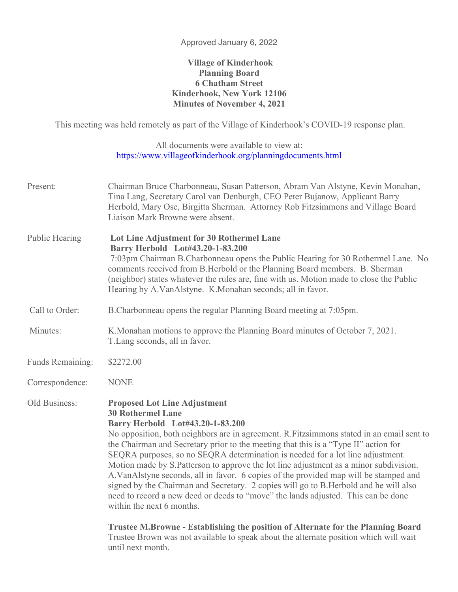## Approved January 6, 2022

## **Village of Kinderhook Planning Board 6 Chatham Street Kinderhook, New York 12106 Minutes of November 4, 2021**

This meeting was held remotely as part of the Village of Kinderhook's COVID-19 response plan.

All documents were available to view at: https://www.villageofkinderhook.org/planningdocuments.html

| Chairman Bruce Charbonneau, Susan Patterson, Abram Van Alstyne, Kevin Monahan,<br>Tina Lang, Secretary Carol van Denburgh, CEO Peter Bujanow, Applicant Barry<br>Herbold, Mary Ose, Birgitta Sherman. Attorney Rob Fitzsimmons and Village Board<br>Liaison Mark Browne were absent.                                                                                                                                                                                                                                                                                                                                                                                                                                                                                                                                                                      |
|-----------------------------------------------------------------------------------------------------------------------------------------------------------------------------------------------------------------------------------------------------------------------------------------------------------------------------------------------------------------------------------------------------------------------------------------------------------------------------------------------------------------------------------------------------------------------------------------------------------------------------------------------------------------------------------------------------------------------------------------------------------------------------------------------------------------------------------------------------------|
| Lot Line Adjustment for 30 Rothermel Lane<br>Barry Herbold Lot#43.20-1-83.200<br>7:03pm Chairman B.Charbonneau opens the Public Hearing for 30 Rothermel Lane. No<br>comments received from B. Herbold or the Planning Board members. B. Sherman<br>(neighbor) states whatever the rules are, fine with us. Motion made to close the Public<br>Hearing by A.VanAlstyne. K.Monahan seconds; all in favor.                                                                                                                                                                                                                                                                                                                                                                                                                                                  |
| B. Charbonneau opens the regular Planning Board meeting at 7:05pm.                                                                                                                                                                                                                                                                                                                                                                                                                                                                                                                                                                                                                                                                                                                                                                                        |
| K. Monahan motions to approve the Planning Board minutes of October 7, 2021.<br>T. Lang seconds, all in favor.                                                                                                                                                                                                                                                                                                                                                                                                                                                                                                                                                                                                                                                                                                                                            |
| \$2272.00                                                                                                                                                                                                                                                                                                                                                                                                                                                                                                                                                                                                                                                                                                                                                                                                                                                 |
| <b>NONE</b>                                                                                                                                                                                                                                                                                                                                                                                                                                                                                                                                                                                                                                                                                                                                                                                                                                               |
| <b>Proposed Lot Line Adjustment</b><br><b>30 Rothermel Lane</b><br>Barry Herbold Lot#43.20-1-83.200<br>No opposition, both neighbors are in agreement. R.Fitzsimmons stated in an email sent to<br>the Chairman and Secretary prior to the meeting that this is a "Type II" action for<br>SEQRA purposes, so no SEQRA determination is needed for a lot line adjustment.<br>Motion made by S.Patterson to approve the lot line adjustment as a minor subdivision.<br>A. VanAlstyne seconds, all in favor. 6 copies of the provided map will be stamped and<br>signed by the Chairman and Secretary. 2 copies will go to B. Herbold and he will also<br>need to record a new deed or deeds to "move" the lands adjusted. This can be done<br>within the next 6 months.<br>Trustee M.Browne - Establishing the position of Alternate for the Planning Board |
|                                                                                                                                                                                                                                                                                                                                                                                                                                                                                                                                                                                                                                                                                                                                                                                                                                                           |

Trustee Brown was not available to speak about the alternate position which will wait until next month.